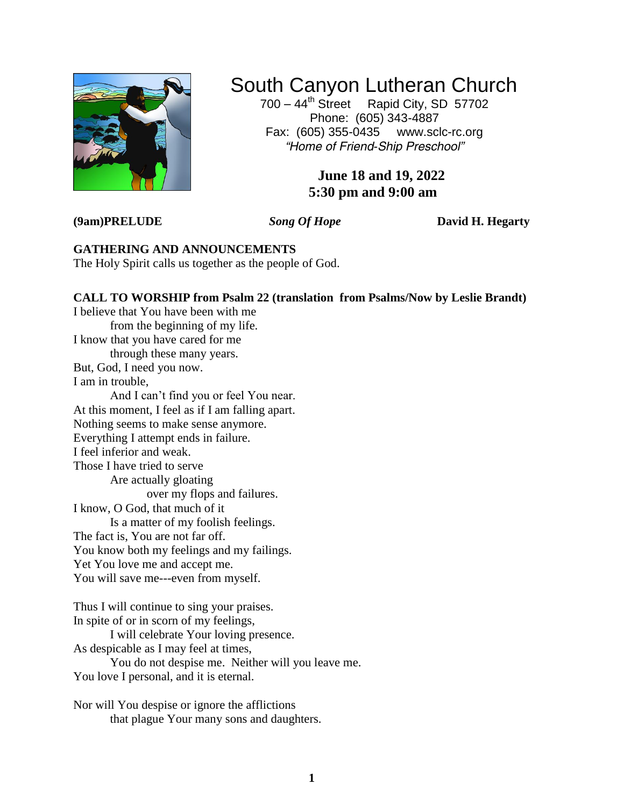

# South Canyon Lutheran Church

700 – 44<sup>th</sup> Street Rapid City, SD 57702 Phone: (605) 343-4887 Fax: (605) 355-0435 <www.sclc-rc.org> *"Home of Friend-Ship Preschool"*

# **June 18 and 19, 2022 5:30 pm and 9:00 am**

**(9am)PRELUDE** *Song Of Hope* **David H. Hegarty**

**GATHERING AND ANNOUNCEMENTS** The Holy Spirit calls us together as the people of God.

# **CALL TO WORSHIP from Psalm 22 (translation from Psalms/Now by Leslie Brandt)**

I believe that You have been with me from the beginning of my life. I know that you have cared for me through these many years. But, God, I need you now. I am in trouble, And I can't find you or feel You near. At this moment, I feel as if I am falling apart. Nothing seems to make sense anymore. Everything I attempt ends in failure. I feel inferior and weak. Those I have tried to serve Are actually gloating over my flops and failures. I know, O God, that much of it Is a matter of my foolish feelings. The fact is, You are not far off. You know both my feelings and my failings. Yet You love me and accept me. You will save me---even from myself.

Thus I will continue to sing your praises. In spite of or in scorn of my feelings,

I will celebrate Your loving presence.

As despicable as I may feel at times,

You do not despise me. Neither will you leave me.

You love I personal, and it is eternal.

Nor will You despise or ignore the afflictions that plague Your many sons and daughters.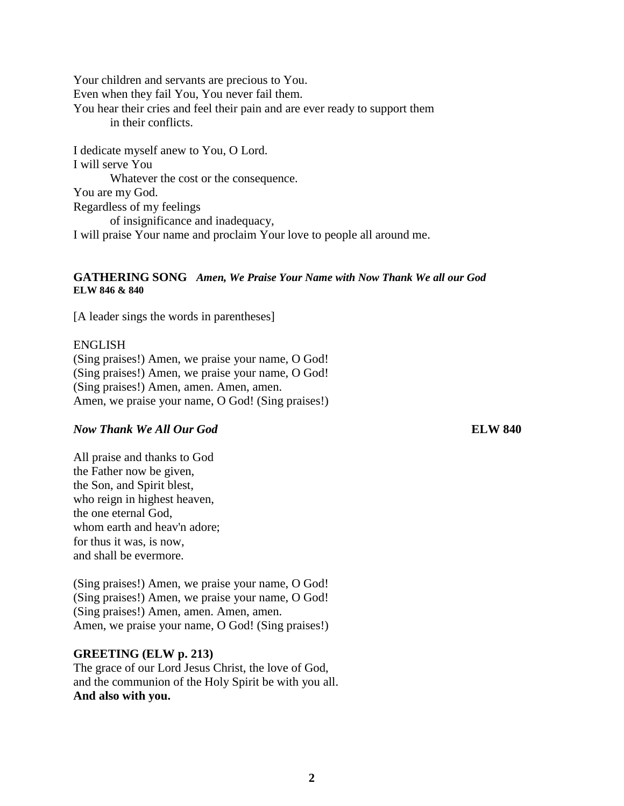Your children and servants are precious to You. Even when they fail You, You never fail them. You hear their cries and feel their pain and are ever ready to support them in their conflicts.

I dedicate myself anew to You, O Lord. I will serve You Whatever the cost or the consequence. You are my God. Regardless of my feelings of insignificance and inadequacy, I will praise Your name and proclaim Your love to people all around me.

#### **GATHERING SONG** *Amen, We Praise Your Name with Now Thank We all our God* **ELW 846 & 840**

[A leader sings the words in parentheses]

#### ENGLISH

(Sing praises!) Amen, we praise your name, O God! (Sing praises!) Amen, we praise your name, O God! (Sing praises!) Amen, amen. Amen, amen. Amen, we praise your name, O God! (Sing praises!)

#### *Now Thank We All Our God* **ELW 840**

All praise and thanks to God the Father now be given, the Son, and Spirit blest, who reign in highest heaven, the one eternal God, whom earth and heav'n adore; for thus it was, is now, and shall be evermore.

(Sing praises!) Amen, we praise your name, O God! (Sing praises!) Amen, we praise your name, O God! (Sing praises!) Amen, amen. Amen, amen. Amen, we praise your name, O God! (Sing praises!)

#### **GREETING (ELW p. 213)**

The grace of our Lord Jesus Christ, the love of God, and the communion of the Holy Spirit be with you all. **And also with you.**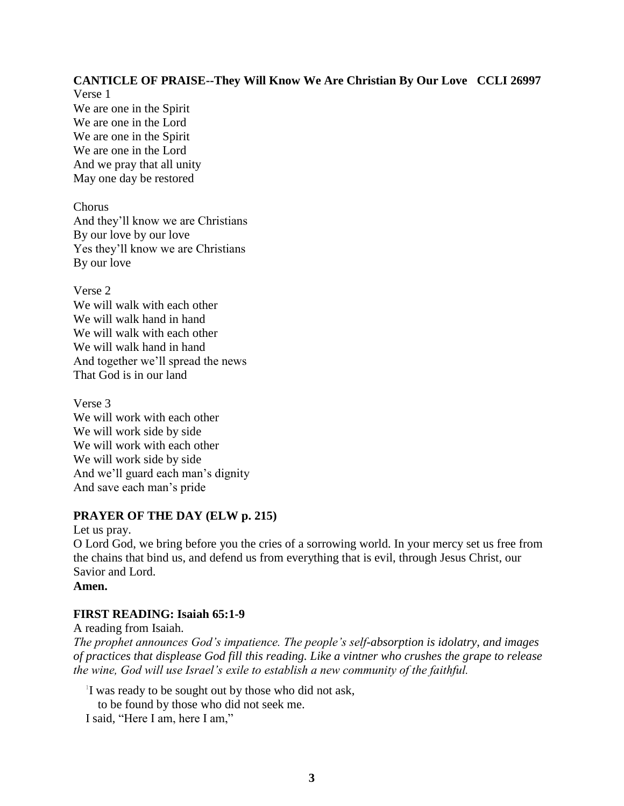# **CANTICLE OF PRAISE--They Will Know We Are Christian By Our Love CCLI 26997**

Verse 1 We are one in the Spirit We are one in the Lord We are one in the Spirit We are one in the Lord And we pray that all unity May one day be restored

Chorus And they'll know we are Christians By our love by our love Yes they'll know we are Christians By our love

Verse 2 We will walk with each other We will walk hand in hand We will walk with each other We will walk hand in hand And together we'll spread the news That God is in our land

Verse 3 We will work with each other We will work side by side We will work with each other We will work side by side And we'll guard each man's dignity And save each man's pride

# **PRAYER OF THE DAY (ELW p. 215)**

Let us pray.

O Lord God, we bring before you the cries of a sorrowing world. In your mercy set us free from the chains that bind us, and defend us from everything that is evil, through Jesus Christ, our Savior and Lord.

**Amen.**

# **FIRST READING: Isaiah 65:1-9**

A reading from Isaiah. *The prophet announces God's impatience. The people's self-absorption is idolatry, and images of practices that displease God fill this reading. Like a vintner who crushes the grape to release the wine, God will use Israel's exile to establish a new community of the faithful.*

1 I was ready to be sought out by those who did not ask, to be found by those who did not seek me.

I said, "Here I am, here I am,"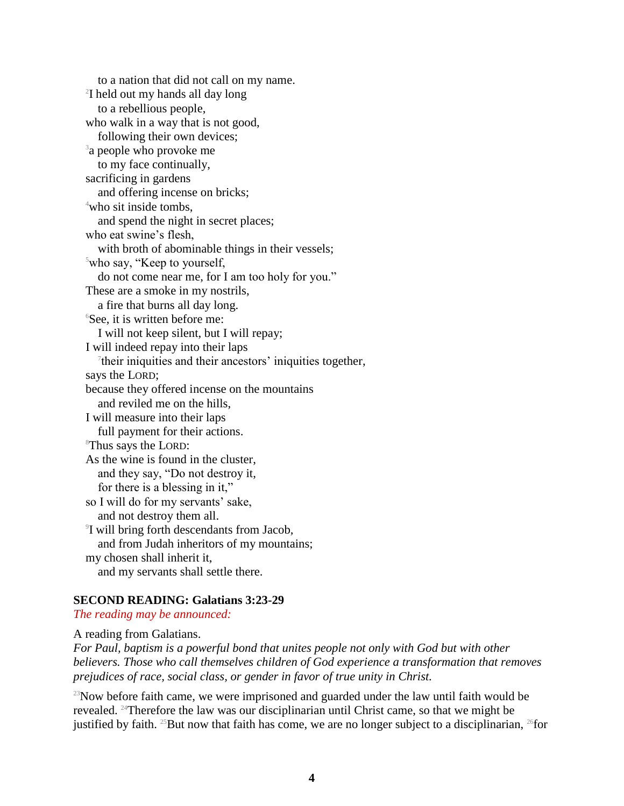to a nation that did not call on my name. <sup>2</sup>I held out my hands all day long to a rebellious people, who walk in a way that is not good, following their own devices; <sup>3</sup>a people who provoke me to my face continually, sacrificing in gardens and offering incense on bricks; <sup>4</sup>who sit inside tombs, and spend the night in secret places; who eat swine's flesh, with broth of abominable things in their vessels; <sup>5</sup>who say, "Keep to yourself, do not come near me, for I am too holy for you." These are a smoke in my nostrils, a fire that burns all day long.  $6$ See, it is written before me: I will not keep silent, but I will repay; I will indeed repay into their laps <sup>7</sup>their iniquities and their ancestors' iniquities together, says the LORD; because they offered incense on the mountains and reviled me on the hills, I will measure into their laps full payment for their actions. <sup>8</sup>Thus says the LORD: As the wine is found in the cluster, and they say, "Do not destroy it, for there is a blessing in it," so I will do for my servants' sake, and not destroy them all. 9 I will bring forth descendants from Jacob, and from Judah inheritors of my mountains; my chosen shall inherit it, and my servants shall settle there.

#### **SECOND READING: Galatians 3:23-29**

*The reading may be announced:* 

A reading from Galatians.

*For Paul, baptism is a powerful bond that unites people not only with God but with other believers. Those who call themselves children of God experience a transformation that removes prejudices of race, social class, or gender in favor of true unity in Christ.*

 $23$ Now before faith came, we were imprisoned and guarded under the law until faith would be revealed. <sup>24</sup>Therefore the law was our disciplinarian until Christ came, so that we might be justified by faith. <sup>25</sup>But now that faith has come, we are no longer subject to a disciplinarian, <sup>26</sup>for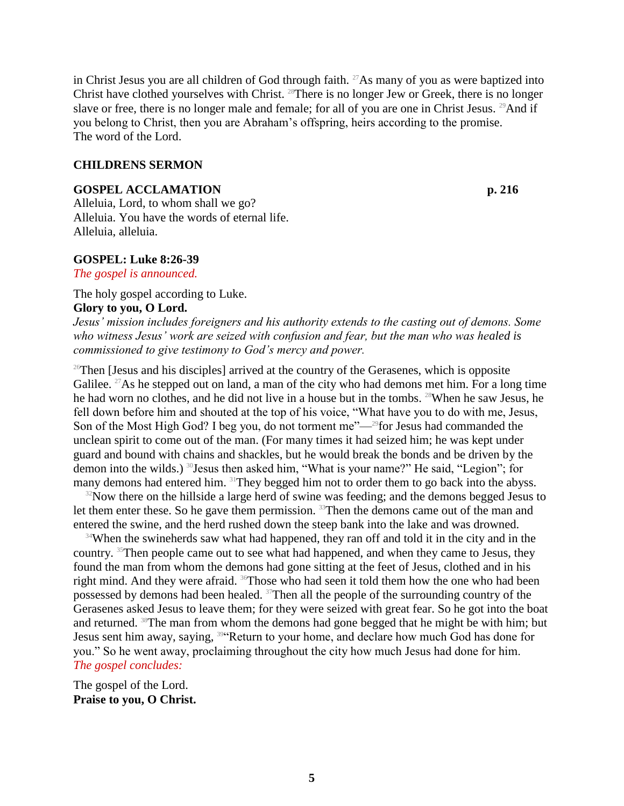in Christ Jesus you are all children of God through faith. <sup>27</sup>As many of you as were baptized into Christ have clothed yourselves with Christ. <sup>28</sup>There is no longer Jew or Greek, there is no longer slave or free, there is no longer male and female; for all of you are one in Christ Jesus. <sup>29</sup>And if you belong to Christ, then you are Abraham's offspring, heirs according to the promise. The word of the Lord.

#### **CHILDRENS SERMON**

#### **GOSPEL ACCLAMATION p. 216**

Alleluia, Lord, to whom shall we go? Alleluia. You have the words of eternal life. Alleluia, alleluia.

#### **GOSPEL: Luke 8:26-39**

*The gospel is announced.*

The holy gospel according to Luke.

#### **Glory to you, O Lord.**

*Jesus' mission includes foreigners and his authority extends to the casting out of demons. Some who witness Jesus' work are seized with confusion and fear, but the man who was healed is commissioned to give testimony to God's mercy and power.*

 $26$ Then [Jesus and his disciples] arrived at the country of the Gerasenes, which is opposite Galilee. <sup>27</sup>As he stepped out on land, a man of the city who had demons met him. For a long time he had worn no clothes, and he did not live in a house but in the tombs. <sup>28</sup>When he saw Jesus, he fell down before him and shouted at the top of his voice, "What have you to do with me, Jesus, Son of the Most High God? I beg you, do not torment me"—<sup>29</sup>for Jesus had commanded the unclean spirit to come out of the man. (For many times it had seized him; he was kept under guard and bound with chains and shackles, but he would break the bonds and be driven by the demon into the wilds.) <sup>30</sup>Jesus then asked him, "What is your name?" He said, "Legion"; for many demons had entered him. <sup>31</sup>They begged him not to order them to go back into the abyss.

 $32$ Now there on the hillside a large herd of swine was feeding; and the demons begged Jesus to let them enter these. So he gave them permission. <sup>33</sup>Then the demons came out of the man and entered the swine, and the herd rushed down the steep bank into the lake and was drowned.

<sup>34</sup>When the swineherds saw what had happened, they ran off and told it in the city and in the country. <sup>35</sup>Then people came out to see what had happened, and when they came to Jesus, they found the man from whom the demons had gone sitting at the feet of Jesus, clothed and in his right mind. And they were afraid. <sup>36</sup>Those who had seen it told them how the one who had been possessed by demons had been healed. <sup>37</sup>Then all the people of the surrounding country of the Gerasenes asked Jesus to leave them; for they were seized with great fear. So he got into the boat and returned. <sup>38</sup>The man from whom the demons had gone begged that he might be with him; but Jesus sent him away, saying, <sup>394</sup>Return to your home, and declare how much God has done for you." So he went away, proclaiming throughout the city how much Jesus had done for him. *The gospel concludes:*

The gospel of the Lord. **Praise to you, O Christ.**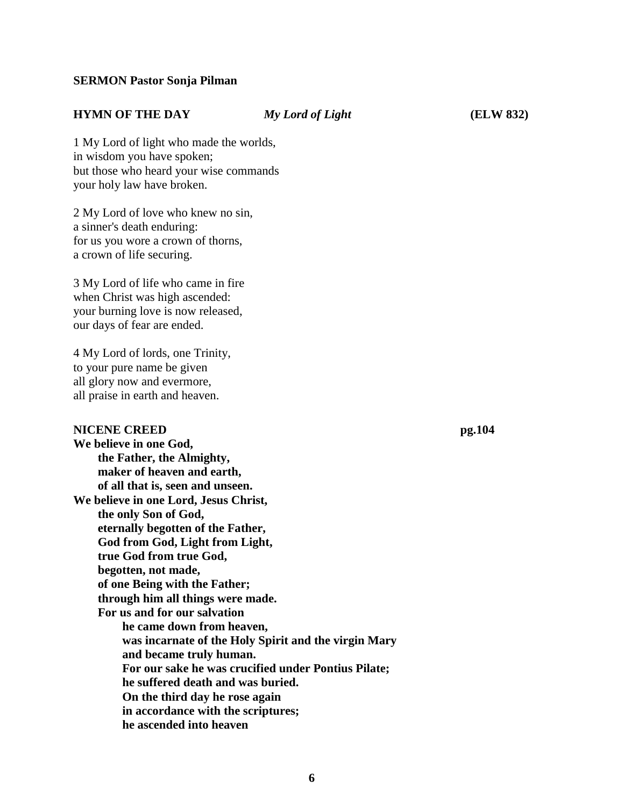#### **SERMON Pastor Sonja Pilman**

#### **HYMN OF THE DAY** *My Lord of Light* **(ELW 832)**

1 My Lord of light who made the worlds, in wisdom you have spoken; but those who heard your wise commands your holy law have broken.

2 My Lord of love who knew no sin, a sinner's death enduring: for us you wore a crown of thorns, a crown of life securing.

3 My Lord of life who came in fire when Christ was high ascended: your burning love is now released, our days of fear are ended.

4 My Lord of lords, one Trinity, to your pure name be given all glory now and evermore, all praise in earth and heaven.

#### **NICENE CREED pg.104**

**We believe in one God, the Father, the Almighty, maker of heaven and earth, of all that is, seen and unseen. We believe in one Lord, Jesus Christ, the only Son of God, eternally begotten of the Father, God from God, Light from Light, true God from true God, begotten, not made, of one Being with the Father; through him all things were made. For us and for our salvation he came down from heaven, was incarnate of the Holy Spirit and the virgin Mary and became truly human. For our sake he was crucified under Pontius Pilate; he suffered death and was buried. On the third day he rose again in accordance with the scriptures; he ascended into heaven**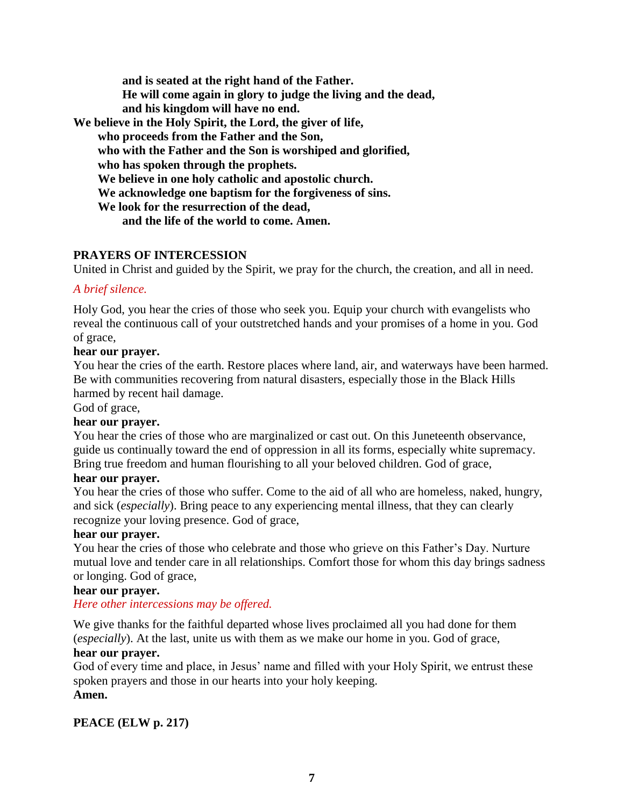**and is seated at the right hand of the Father. He will come again in glory to judge the living and the dead, and his kingdom will have no end. We believe in the Holy Spirit, the Lord, the giver of life, who proceeds from the Father and the Son, who with the Father and the Son is worshiped and glorified, who has spoken through the prophets. We believe in one holy catholic and apostolic church. We acknowledge one baptism for the forgiveness of sins. We look for the resurrection of the dead, and the life of the world to come. Amen.**

#### **PRAYERS OF INTERCESSION**

United in Christ and guided by the Spirit, we pray for the church, the creation, and all in need.

### *A brief silence.*

Holy God, you hear the cries of those who seek you. Equip your church with evangelists who reveal the continuous call of your outstretched hands and your promises of a home in you. God of grace,

### **hear our prayer.**

You hear the cries of the earth. Restore places where land, air, and waterways have been harmed. Be with communities recovering from natural disasters, especially those in the Black Hills harmed by recent hail damage.

God of grace,

# **hear our prayer.**

You hear the cries of those who are marginalized or cast out. On this Juneteenth observance, guide us continually toward the end of oppression in all its forms, especially white supremacy. Bring true freedom and human flourishing to all your beloved children. God of grace,

#### **hear our prayer.**

You hear the cries of those who suffer. Come to the aid of all who are homeless, naked, hungry, and sick (*especially*). Bring peace to any experiencing mental illness, that they can clearly recognize your loving presence. God of grace,

#### **hear our prayer.**

You hear the cries of those who celebrate and those who grieve on this Father's Day. Nurture mutual love and tender care in all relationships. Comfort those for whom this day brings sadness or longing. God of grace,

#### **hear our prayer.**

# *Here other intercessions may be offered.*

We give thanks for the faithful departed whose lives proclaimed all you had done for them (*especially*). At the last, unite us with them as we make our home in you. God of grace,

# **hear our prayer.**

God of every time and place, in Jesus' name and filled with your Holy Spirit, we entrust these spoken prayers and those in our hearts into your holy keeping. **Amen.**

# **PEACE (ELW p. 217)**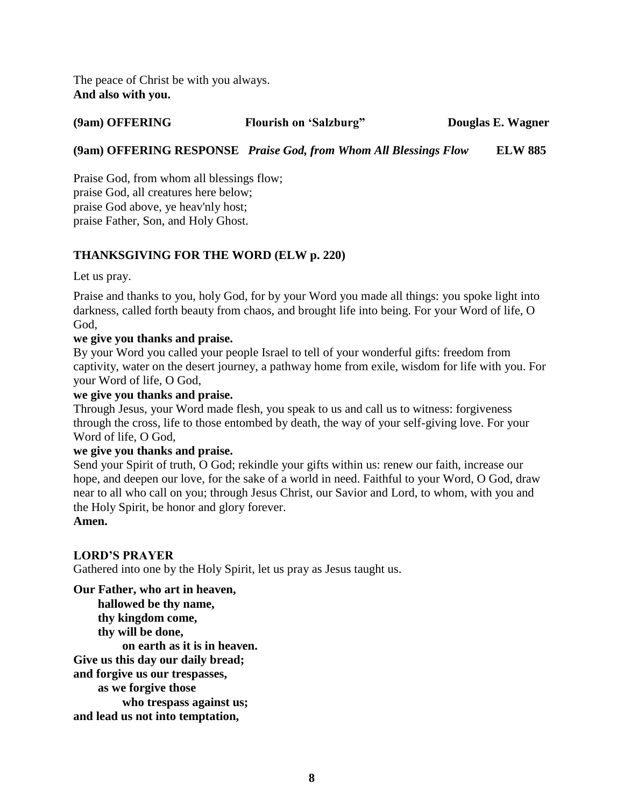The peace of Christ be with you always. **And also with you.**

# **(9am) OFFERING Flourish on 'Salzburg" Douglas E. Wagner**

# **(9am) OFFERING RESPONSE** *Praise God, from Whom All Blessings Flow* **ELW 885**

Praise God, from whom all blessings flow; praise God, all creatures here below; praise God above, ye heav'nly host; praise Father, Son, and Holy Ghost.

# **THANKSGIVING FOR THE WORD (ELW p. 220)**

Let us pray.

Praise and thanks to you, holy God, for by your Word you made all things: you spoke light into darkness, called forth beauty from chaos, and brought life into being. For your Word of life, O God,

# **we give you thanks and praise.**

By your Word you called your people Israel to tell of your wonderful gifts: freedom from captivity, water on the desert journey, a pathway home from exile, wisdom for life with you. For your Word of life, O God,

### **we give you thanks and praise.**

Through Jesus, your Word made flesh, you speak to us and call us to witness: forgiveness through the cross, life to those entombed by death, the way of your self-giving love. For your Word of life, O God,

#### **we give you thanks and praise.**

Send your Spirit of truth, O God; rekindle your gifts within us: renew our faith, increase our hope, and deepen our love, for the sake of a world in need. Faithful to your Word, O God, draw near to all who call on you; through Jesus Christ, our Savior and Lord, to whom, with you and the Holy Spirit, be honor and glory forever. **Amen.**

# **LORD'S PRAYER**

Gathered into one by the Holy Spirit, let us pray as Jesus taught us.

**Our Father, who art in heaven, hallowed be thy name, thy kingdom come, thy will be done, on earth as it is in heaven. Give us this day our daily bread; and forgive us our trespasses, as we forgive those who trespass against us; and lead us not into temptation,**